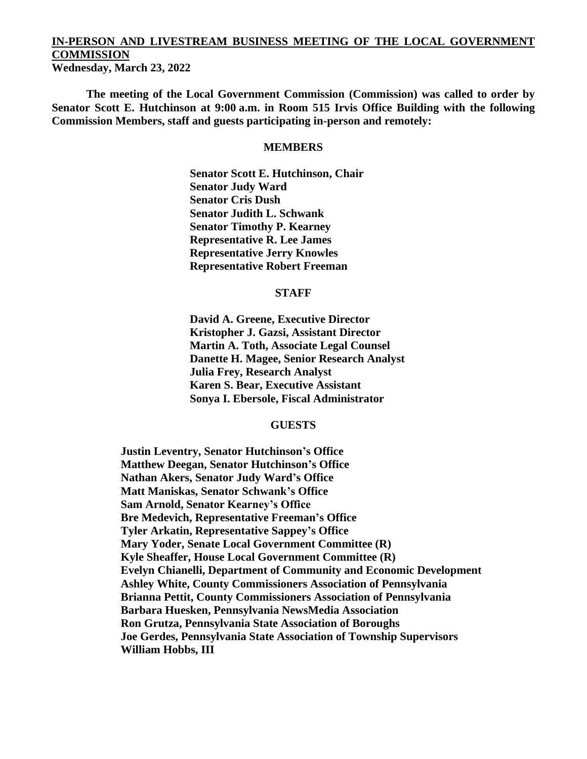# **IN-PERSON AND LIVESTREAM BUSINESS MEETING OF THE LOCAL GOVERNMENT COMMISSION**

**Wednesday, March 23, 2022**

**The meeting of the Local Government Commission (Commission) was called to order by Senator Scott E. Hutchinson at 9:00 a.m. in Room 515 Irvis Office Building with the following Commission Members, staff and guests participating in-person and remotely:**

#### **MEMBERS**

**Senator Scott E. Hutchinson, Chair Senator Judy Ward Senator Cris Dush Senator Judith L. Schwank Senator Timothy P. Kearney Representative R. Lee James Representative Jerry Knowles Representative Robert Freeman**

### **STAFF**

**David A. Greene, Executive Director Kristopher J. Gazsi, Assistant Director Martin A. Toth, Associate Legal Counsel Danette H. Magee, Senior Research Analyst Julia Frey, Research Analyst Karen S. Bear, Executive Assistant Sonya I. Ebersole, Fiscal Administrator**

### **GUESTS**

**Justin Leventry, Senator Hutchinson's Office Matthew Deegan, Senator Hutchinson's Office Nathan Akers, Senator Judy Ward's Office Matt Maniskas, Senator Schwank's Office Sam Arnold, Senator Kearney's Office Bre Medevich, Representative Freeman's Office Tyler Arkatin, Representative Sappey's Office Mary Yoder, Senate Local Government Committee (R) Kyle Sheaffer, House Local Government Committee (R) Evelyn Chianelli, Department of Community and Economic Development Ashley White, County Commissioners Association of Pennsylvania Brianna Pettit, County Commissioners Association of Pennsylvania Barbara Huesken, Pennsylvania NewsMedia Association Ron Grutza, Pennsylvania State Association of Boroughs Joe Gerdes, Pennsylvania State Association of Township Supervisors William Hobbs, III**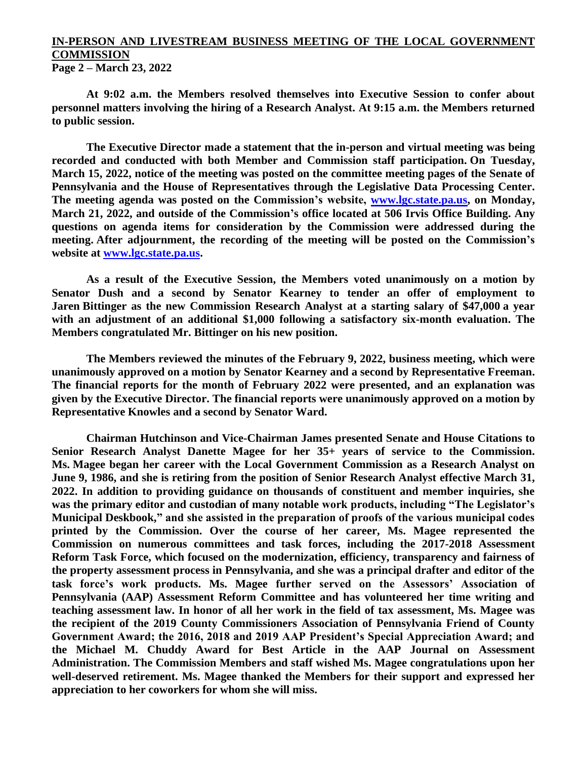## **IN-PERSON AND LIVESTREAM BUSINESS MEETING OF THE LOCAL GOVERNMENT COMMISSION**

**Page 2 – March 23, 2022**

**At 9:02 a.m. the Members resolved themselves into Executive Session to confer about personnel matters involving the hiring of a Research Analyst. At 9:15 a.m. the Members returned to public session.**

**The Executive Director made a statement that the in-person and virtual meeting was being recorded and conducted with both Member and Commission staff participation. On Tuesday, March 15, 2022, notice of the meeting was posted on the committee meeting pages of the Senate of Pennsylvania and the House of Representatives through the Legislative Data Processing Center. The meeting agenda was posted on the Commission's website, [www.lgc.state.pa.us,](http://www.lgc.state.pa.us/) on Monday, March 21, 2022, and outside of the Commission's office located at 506 Irvis Office Building. Any questions on agenda items for consideration by the Commission were addressed during the meeting. After adjournment, the recording of the meeting will be posted on the Commission's website at [www.lgc.state.pa.us.](http://www.lgc.state.pa.us/)**

**As a result of the Executive Session, the Members voted unanimously on a motion by Senator Dush and a second by Senator Kearney to tender an offer of employment to Jaren Bittinger as the new Commission Research Analyst at a starting salary of \$47,000 a year with an adjustment of an additional \$1,000 following a satisfactory six-month evaluation. The Members congratulated Mr. Bittinger on his new position.** 

**The Members reviewed the minutes of the February 9, 2022, business meeting, which were unanimously approved on a motion by Senator Kearney and a second by Representative Freeman. The financial reports for the month of February 2022 were presented, and an explanation was given by the Executive Director. The financial reports were unanimously approved on a motion by Representative Knowles and a second by Senator Ward.**

**Chairman Hutchinson and Vice-Chairman James presented Senate and House Citations to Senior Research Analyst Danette Magee for her 35+ years of service to the Commission. Ms. Magee began her career with the Local Government Commission as a Research Analyst on June 9, 1986, and she is retiring from the position of Senior Research Analyst effective March 31, 2022. In addition to providing guidance on thousands of constituent and member inquiries, she was the primary editor and custodian of many notable work products, including "The Legislator's Municipal Deskbook," and she assisted in the preparation of proofs of the various municipal codes printed by the Commission. Over the course of her career, Ms. Magee represented the Commission on numerous committees and task forces, including the 2017-2018 Assessment Reform Task Force, which focused on the modernization, efficiency, transparency and fairness of the property assessment process in Pennsylvania, and she was a principal drafter and editor of the task force's work products. Ms. Magee further served on the Assessors' Association of Pennsylvania (AAP) Assessment Reform Committee and has volunteered her time writing and teaching assessment law. In honor of all her work in the field of tax assessment, Ms. Magee was the recipient of the 2019 County Commissioners Association of Pennsylvania Friend of County Government Award; the 2016, 2018 and 2019 AAP President's Special Appreciation Award; and the Michael M. Chuddy Award for Best Article in the AAP Journal on Assessment Administration. The Commission Members and staff wished Ms. Magee congratulations upon her well-deserved retirement. Ms. Magee thanked the Members for their support and expressed her appreciation to her coworkers for whom she will miss.**